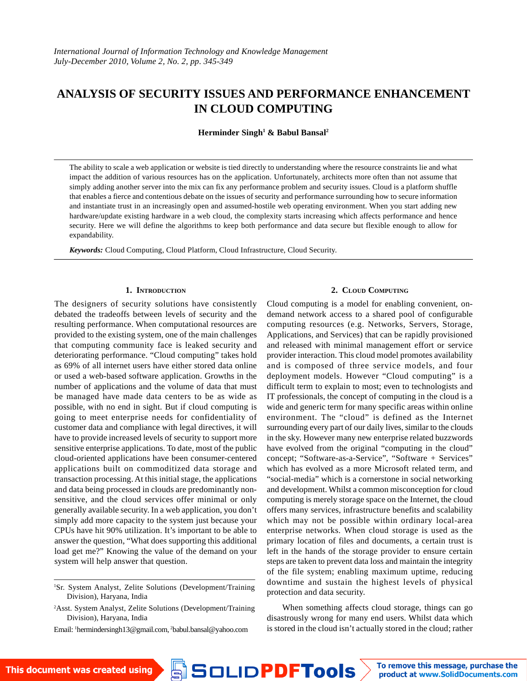# ANALYSIS OF SECURITY ISSUESAND PERFORMANCE ENHANCEMENT IN CLOUD COMPUTING

Herminder Singh<sup>1</sup> & Babul Bansal<sup>2</sup>

The ability to scale a web application or website is tied directly to understanding where the resource constraints lie and what impact the addition of various resources has on the application. Unfortunately, architects more often than not assume that simply adding another server into the mix can fix any performance problem and security issues. Cloud is a platform shuffle that enables a fierce and contentious debate on the issues of security and performance surrounding how to secure information and instantiate trust in an increasingly open and assumed-hostile web operating environment. When you start adding new hardware/update existing hardware in a web cloud, the complexity starts increasing which affects performance and hence security. Here we will define the algorithms to keep both performance and data secure but flexible enough to allow for expandability.

Keywords: Cloud Computing, Cloud Platform, Cloud Infrastructure, Cloud Security.

## 1. I [NTRODUC](mailto:1hermindersingh13@gmail.com)TION

## 2. CLOUD COMPUTING

The designers of security solutions have consisten**O**youd computing is a model for enabling convenient, ondebated the tradeoffs between levels of security and themand network access to a shared pool of configurable resulting performance. When computational resources **aœ**mputing resources (e.g. Networks, Servers, Storage, provided to the existing system, one of the main challengepplications, and Services) that can be rapidly provisioned that computing community face is leaked security anadhd released with minimal management effort or service deteriorating performance. €Cloud computing∙ takes holdovider interaction. This cloud model promotes availability as 69% of all internet users have either stored data onl<del>ane</del>d is composed of three service models, and four or used a web-based software application. Growths in theployment models. However €Cloud computing• is a number of applications and the volume of data that mustificult term to explain to most; even to technologists and be managed have made data centers to be as wideTaxofessionals, the concept of computing in the cloud is a possible, with no end in sight. But if cloud computing iwide and generic term for many specific areas within online going to meet enterprise needs for confidentiality **œ**fnvironment. The €cloud• is defined as the Internet customer data and compliance with legal directives, it willurrounding every part of our daily lives, similar to the clouds have to provide increased levels of security to support montahe sky. However many new enterprise related buzzwords sensitive enterprise applications. To date, most of the publiave evolved from the original €computing in the cloud• cloud-oriented applications have been consumer-centecedicept; €Software-as-a-Service•, €Software + Services• applications built on commoditized data storage andhich has evolved as a more Microsoft related term, and transaction processing. At this initial stage, the applicatio**6**social-media∙ which is a cornerstone in social networking and data being processed in clouds are predominantly n**and** development. Whilst a common misconception for cloud sensitive, and the cloud services offer minimal or onbomputing is merely storage space on the Internet, the cloud generally available security. In a web application, you domtfers many services, infrastructure benefits and scalability simply add more capacity to the system just because youlmich may not be possible within ordinary local-area CPUs have hit 90% utilization. It,s important to be able tenterprise networks. When cloud storage is used as the answer the question, €What does supporting this additiqprathary location of files and documents, a certain trust is load get me?• Knowing the value of the demand on yolerft in the hands of the storage provider to ensure certain system will help answer that question. steps are taken to prevent data loss and maintain the integrity of the file system; enabling maximum uptime, reducing

<sup>1</sup>Sr. System Analyst, Zelite Solutions (Development/Training downtime and sustain the highest levels of physical Division), Haryana, India

<sup>2</sup>Asst. System Analyst, Zelite Solutions (Development/Training Division), Haryana, India

Email: 1hermindersingh13@gmail.com/babul.bansal@yahoo.com

When something affects cloud storage, things can go disastrously wrong for many end users. Whilst data which is stored in the cloud isn,t actually stored in the cloud; rather

protection and data security.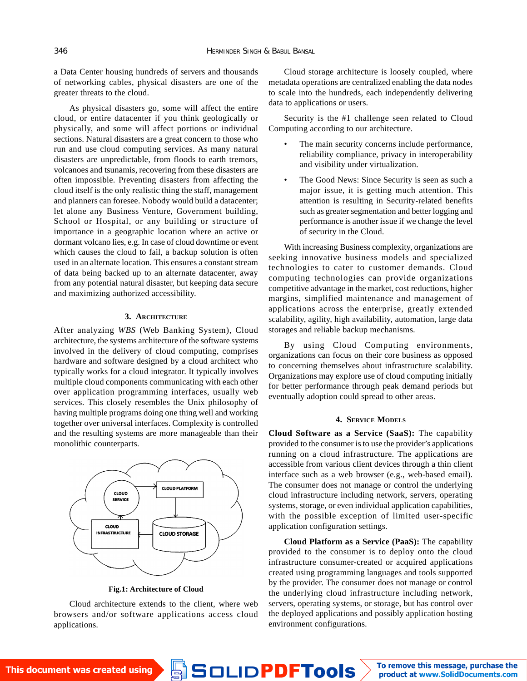a Data Center housing hundreds of servers and thousands of networking cables, physical disasters are one of the greater threats to the cloud.

As physical disasters go, some will affect the entire cloud, or entire datacenter if you think geologically or physically, and some will affect portions or individual sections. Natural disasters are a great concern to those who run and use cloud computing services. As many natural disasters are unpredictable, from floods to earth tremors, volcanoes and tsunamis, recovering from these disasters are often impossible. Preventing disasters from affecting the cloud itself is the only realistic thing the staff, management and planners can foresee. Nobody would build a datacenter; let alone any Business Venture, Government building, School or Hospital, or any building or structure of importance in a geographic location where an active or dormant volcano lies, e.g. In case of cloud downtime or event which causes the cloud to fail, a backup solution is often used in an alternate location. This ensures a constant stream of data being backed up to an alternate datacenter, away from any potential natural disaster, but keeping data secure and maximizing authorized accessibility.

#### **3. ARCHITECTURE**

After analyzing *WBS* (Web Banking System), Cloud architecture, the systems architecture of the software systems involved in the delivery of cloud computing, comprises hardware and software designed by a cloud architect who typically works for a cloud integrator. It typically involves multiple cloud components communicating with each other over application programming interfaces, usually web services. This closely resembles the Unix philosophy of having multiple programs doing one thing well and working together over universal interfaces. Complexity is controlled and the resulting systems are more manageable than their monolithic counterparts.



**Fig.1: Architecture of Cloud**

Cloud architecture extends to the client, where web browsers and/or software applications access cloud applications.

Cloud storage architecture is loosely coupled, where metadata operations are centralized enabling the data nodes to scale into the hundreds, each independently delivering data to applications or users.

Security is the #1 challenge seen related to Cloud Computing according to our architecture.

- The main security concerns include performance, reliability compliance, privacy in interoperability and visibility under virtualization.
- The Good News: Since Security is seen as such a major issue, it is getting much attention. This attention is resulting in Security-related benefits such as greater segmentation and better logging and performance is another issue if we change the level of security in the Cloud.

With increasing Business complexity, organizations are seeking innovative business models and specialized technologies to cater to customer demands. Cloud computing technologies can provide organizations competitive advantage in the market, cost reductions, higher margins, simplified maintenance and management of applications across the enterprise, greatly extended scalability, agility, high availability, automation, large data storages and reliable backup mechanisms.

By using Cloud Computing environments, organizations can focus on their core business as opposed to concerning themselves about infrastructure scalability. Organizations may explore use of cloud computing initially for better performance through peak demand periods but eventually adoption could spread to other areas.

#### **4. SERVICE MODELS**

**Cloud Software as a Service (SaaS):** The capability provided to the consumer is to use the provider's applications running on a cloud infrastructure. The applications are accessible from various client devices through a thin client interface such as a web browser (e.g., web-based email). The consumer does not manage or control the underlying cloud infrastructure including network, servers, operating systems, storage, or even individual application capabilities, with the possible exception of limited user-specific application configuration settings.

**Cloud Platform as a Service (PaaS):** The capability provided to the consumer is to deploy onto the cloud infrastructure consumer-created or acquired applications created using programming languages and tools supported by the provider. The consumer does not manage or control the underlying cloud infrastructure including network, servers, operating systems, or storage, but has control over the deployed applications and possibly application hosting environment configurations.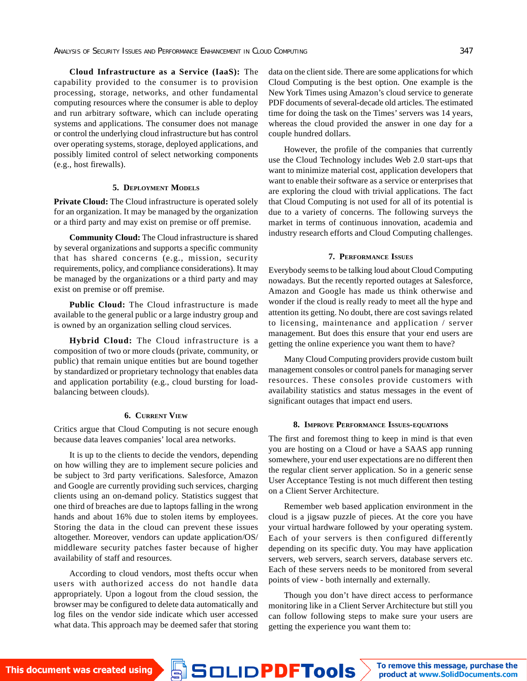**Cloud Infrastructure as a Service (IaaS):** The capability provided to the consumer is to provision processing, storage, networks, and other fundamental computing resources where the consumer is able to deploy and run arbitrary software, which can include operating systems and applications. The consumer does not manage or control the underlying cloud infrastructure but has control over operating systems, storage, deployed applications, and possibly limited control of select networking components (e.g., host firewalls).

#### **5. DEPLOYMENT MODELS**

**Private Cloud:** The Cloud infrastructure is operated solely for an organization. It may be managed by the organization or a third party and may exist on premise or off premise.

**Community Cloud:** The Cloud infrastructure is shared by several organizations and supports a specific community that has shared concerns (e.g., mission, security requirements, policy, and compliance considerations). It may be managed by the organizations or a third party and may exist on premise or off premise.

**Public Cloud:** The Cloud infrastructure is made available to the general public or a large industry group and is owned by an organization selling cloud services.

**Hybrid Cloud:** The Cloud infrastructure is a composition of two or more clouds (private, community, or public) that remain unique entities but are bound together by standardized or proprietary technology that enables data and application portability (e.g., cloud bursting for loadbalancing between clouds).

## **6. CURRENT VIEW**

Critics argue that Cloud Computing is not secure enough because data leaves companies' local area networks.

It is up to the clients to decide the vendors, depending on how willing they are to implement secure policies and be subject to 3rd party verifications. Salesforce, Amazon and Google are currently providing such services, charging clients using an on-demand policy. Statistics suggest that one third of breaches are due to laptops falling in the wrong hands and about 16% due to stolen items by employees. Storing the data in the cloud can prevent these issues altogether. Moreover, vendors can update application/OS/ middleware security patches faster because of higher availability of staff and resources.

According to cloud vendors, most thefts occur when users with authorized access do not handle data appropriately. Upon a logout from the cloud session, the browser may be configured to delete data automatically and log files on the vendor side indicate which user accessed what data. This approach may be deemed safer that storing data on the client side. There are some applications for which Cloud Computing is the best option. One example is the New York Times using Amazon's cloud service to generate PDF documents of several-decade old articles. The estimated time for doing the task on the Times' servers was 14 years, whereas the cloud provided the answer in one day for a couple hundred dollars.

However, the profile of the companies that currently use the Cloud Technology includes Web 2.0 start-ups that want to minimize material cost, application developers that want to enable their software as a service or enterprises that are exploring the cloud with trivial applications. The fact that Cloud Computing is not used for all of its potential is due to a variety of concerns. The following surveys the market in terms of continuous innovation, academia and industry research efforts and Cloud Computing challenges.

#### **7. PERFORMANCE ISSUES**

Everybody seems to be talking loud about Cloud Computing nowadays. But the recently reported outages at Salesforce, Amazon and Google has made us think otherwise and wonder if the cloud is really ready to meet all the hype and attention its getting. No doubt, there are cost savings related to licensing, maintenance and application / server management. But does this ensure that your end users are getting the online experience you want them to have?

Many Cloud Computing providers provide custom built management consoles or control panels for managing server resources. These consoles provide customers with availability statistics and status messages in the event of significant outages that impact end users.

#### **8. IMPROVE PERFORMANCE ISSUES-EQUATIONS**

The first and foremost thing to keep in mind is that even you are hosting on a Cloud or have a SAAS app running somewhere, your end user expectations are no different then the regular client server application. So in a generic sense User Acceptance Testing is not much different then testing on a Client Server Architecture.

Remember web based application environment in the cloud is a jigsaw puzzle of pieces. At the core you have your virtual hardware followed by your operating system. Each of your servers is then configured differently depending on its specific duty. You may have application servers, web servers, search servers, database servers etc. Each of these servers needs to be monitored from several points of view - both internally and externally.

Though you don't have direct access to performance monitoring like in a Client Server Architecture but still you can follow following steps to make sure your users are getting the experience you want them to: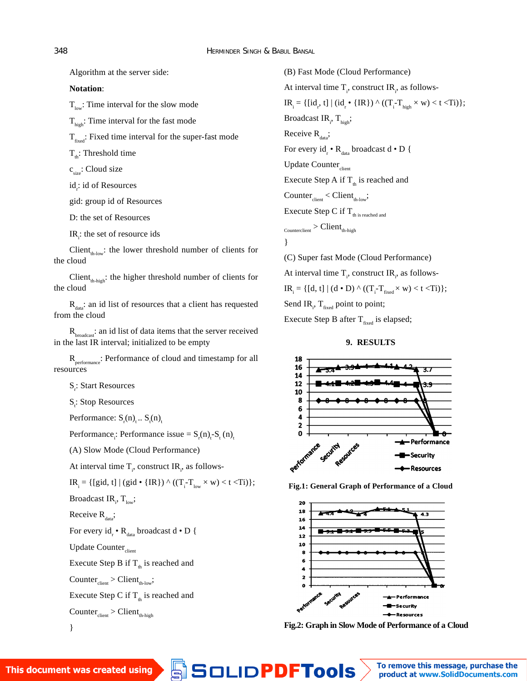Algorithm at the server side:

**Notation**:

 $T_{low}$ : Time interval for the slow mode

 $T<sub>high</sub>$ : Time interval for the fast mode

 $T_{\text{fixed}}$ : Fixed time interval for the super-fast mode

 $T_{\text{th}}$ : Threshold time

c<sub>size</sub>: Cloud size

id<sub>,</sub>: id of Resources

gid: group id of Resources

D: the set of Resources

IR $_{\sf i}$ : the set of resource ids

Client $_{th\text{-low}}$ : the lower threshold number of clients for the cloud

Client $_{th\text{-high}}$ : the higher threshold number of clients for the cloud

 $R_{data}$ : an id list of resources that a client has requested from the cloud

 $R<sub>bradcast</sub>$ : an id list of data items that the server received in the last IR interval; initialized to be empty

R<sub>performance</sub>: Performance of cloud and timestamp for all resources

S<sub>r</sub>: Start Resources

S<sub>t</sub>: Stop Resources

Performance:  $\mathsf{S}_{_{\mathsf{r}}}(\mathsf{n})_{_{\mathsf{t}}}$ ..  $\mathsf{S}_{_{\mathsf{t}}}(\mathsf{n})_{_{\mathsf{t}}}$ 

Performance<sub>i</sub>: Performance issue = S<sub>r</sub>(n)<sub>t</sub>-S<sub>t</sub> (n)<sub>t</sub>

(A) Slow Mode (Cloud Performance)

At interval time  $\mathsf{T}_{_{\mathsf{i}'}}$  construct IR $_{_{\mathsf{i}'}}$  as follows-

 $IR_i = \{ [gid, t] | (gid \cdot \{ IR \}) \wedge ((T_i - T_{low} \times w) < t < T_i) \};$ 

Broadcast IR<sub>i</sub>, T<sub>low</sub>;

Receive  $R_{data}$ ;

For every  $\mathsf{id}_{_\mathsf{r}}\bm{\cdot}\mathsf{R}_{_\mathsf{data}}$  broadcast d  $\bm{\cdot}$  D {

Update Counter<sub>client</sub>

Execute Step B if  $T_{th}$  is reached and

 $Counter_{client} > Client_{th-low'}$ 

Execute Step C if  $T_{th}$  is reached and

$$
\text{Counter}_{\text{client}} > \text{Client}_{\text{th-high}}
$$

}

(B) Fast Mode (Cloud Performance) At interval time  $\mathsf{T}_{_{\mathsf{i}'}}$  construct IR $_{_{\mathsf{i}'}}$  as follows- $IR_i = \{ [id_{r'} t] | (id_{r} \cdot \{ IR \}) \wedge ((T_i - T_{high} \times w) < t < T_i) \};$ Broadcast IR<sub>i</sub>, T<sub>high</sub>; Receive  $R_{\text{data}}$ ; For every  $\mathsf{id}_{_\mathsf{r}}\bm{\cdot}\mathsf{R}_{_\mathsf{data}}$  broadcast d  $\bm{\cdot}\mathsf{D}$  { Update Counter<sub>client</sub> Execute Step A if  $T_{th}$  is reached and  $Counter_{client} < Client_{th-low}$ ; Execute Step C if  $T_{th}$  is reached and  $_{\text{Counterclient}}$  > Client $_{\text{th-third}}$ } (C) Super fast Mode (Cloud Performance)

At interval time  $\mathsf{T}_{_{\mathsf{i}'}}$  construct IR $_{_{\mathsf{i}'}}$  as follows- $IR_i = \{ [d, t] | (d \cdot D) \wedge ((T_i - T_{fixed} \times W) < t < T) \};$ Send IR $_{\sf i'}$  T<sub>fixed</sub> point to point;

Execute Step B after  $T_{fixed}$  is elapsed;

# **9. RESULTS**



**Fig.1: General Graph of Performance of a Cloud**



**Fig.2: Graph in Slow Mode of Performance of a Cloud**